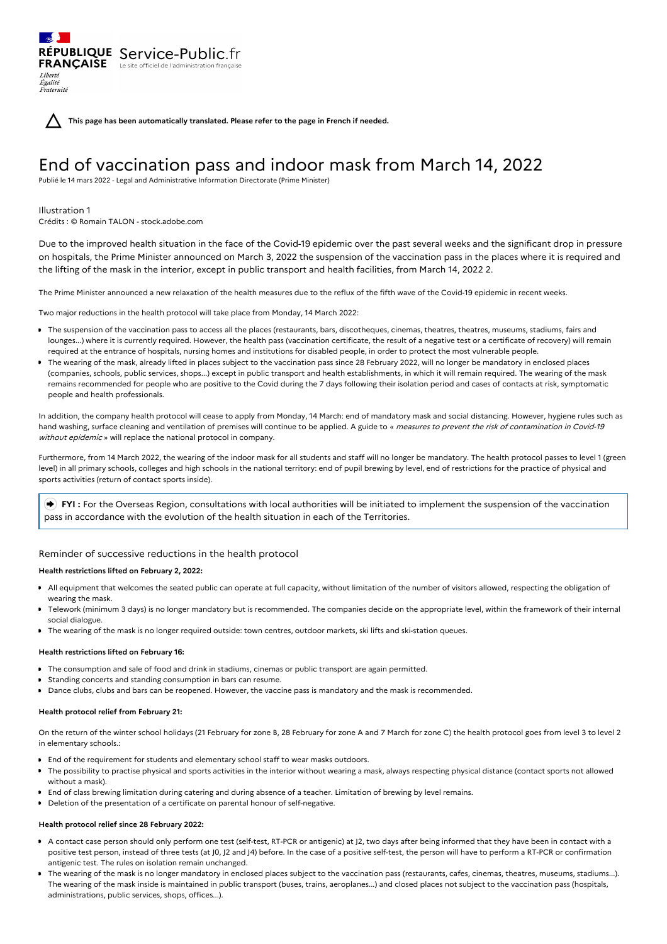**This page has been automatically translated. Please refer to the page in French if needed.**

# End of vaccination pass and indoor mask from March 14, 2022

Publié le 14 mars 2022 - Legal and Administrative Information Directorate (Prime Minister)

## Illustration 1

Liberté Égalité Fraternité

Crédits : © Romain TALON - stock.adobe.com

RÉPUBLIQUE Service-Public.fr **FRANÇAISE** Le site officiel de l'administration fran

Due to the improved health situation in the face of the Covid-19 epidemic over the past several weeks and the significant drop in pressure on hospitals, the Prime Minister announced on March 3, 2022 the suspension of the vaccination pass in the places where it is required and the lifting of the mask in the interior, except in public transport and health facilities, from March 14, 2022 2.

The Prime Minister announced a new relaxation of the health measures due to the reflux of the fifth wave of the Covid-19 epidemic in recent weeks.

Two major reductions in the health protocol will take place from Monday, 14 March 2022:

- The suspension of the vaccination pass to access all the places (restaurants, bars, discotheques, cinemas, theatres, theatres, museums, stadiums, fairs and lounges...) where it is currently required. However, the health pass (vaccination certificate, the result of a negative test or a certificate of recovery) will remain required at the entrance of hospitals, nursing homes and institutions for disabled people, in order to protect the most vulnerable people.
- The wearing of the mask, already lifted in places subject to the vaccination pass since 28 February 2022, will no longer be mandatory in enclosed places (companies, schools, public services, shops...) except in public transport and health establishments, in which it will remain required. The wearing of the mask remains recommended for people who are positive to the Covid during the 7 days following their isolation period and cases of contacts at risk, symptomatic people and health professionals.

In addition, the company health protocol will cease to apply from Monday, 14 March: end of mandatory mask and social distancing. However, hygiene rules such as hand washing, surface cleaning and ventilation of premises will continue to be applied. A guide to « measures to prevent the risk of contamination in Covid-19 without epidemic » will replace the national protocol in company.

Furthermore, from 14 March 2022, the wearing of the indoor mask for all students and staff will no longer be mandatory. The health protocol passes to level 1 (green level) in all primary schools, colleges and high schools in the national territory: end of pupil brewing by level, end of restrictions for the practice of physical and sports activities (return of contact sports inside).

 **FYI :** For the Overseas Region, consultations with local authorities will be initiated to implement the suspension of the vaccination pass in accordance with the evolution of the health situation in each of the Territories.

## Reminder of successive reductions in the health protocol

#### **Health restrictions lifted on February 2, 2022:**

- All equipment that welcomes the seated public can operate at full capacity, without limitation of the number of visitors allowed, respecting the obligation of wearing the mask.
- Telework (minimum 3 days) is no longer mandatory but is recommended. The companies decide on the appropriate level, within the framework of their internal social dialogue.
- The wearing of the mask is no longer required outside: town centres, outdoor markets, ski lifts and ski-station queues.

#### **Health restrictions lifted on February 16:**

- The consumption and sale of food and drink in stadiums, cinemas or public transport are again permitted.
- Standing concerts and standing consumption in bars can resume.
- Dance clubs, clubs and bars can be reopened. However, the vaccine pass is mandatory and the mask is recommended.

#### **Health protocol relief from February 21:**

On the return of the winter school holidays (21 February for zone B, 28 February for zone A and 7 March for zone C) the health protocol goes from level 3 to level 2 in elementary schools.:

- End of the requirement for students and elementary school staff to wear masks outdoors.
- The possibility to practise physical and sports activities in the interior without wearing a mask, always respecting physical distance (contact sports not allowed without a mask).
- End of class brewing limitation during catering and during absence of a teacher. Limitation of brewing by level remains.
- Deletion of the presentation of a certificate on parental honour of self-negative.

#### **Health protocol relief since 28 February 2022:**

- A contact case person should only perform one test (self-test, RT-PCR or antigenic) at J2, two days after being informed that they have been in contact with a positive test person, instead of three tests (at J0, J2 and J4) before. In the case of a positive self-test, the person will have to perform a RT-PCR or confirmation antigenic test. The rules on isolation remain unchanged.
- The wearing of the mask is no longer mandatory in enclosed places subject to the vaccination pass (restaurants, cafes, cinemas, theatres, museums, stadiums...). The wearing of the mask inside is maintained in public transport (buses, trains, aeroplanes...) and closed places not subject to the vaccination pass (hospitals, administrations, public services, shops, offices...).